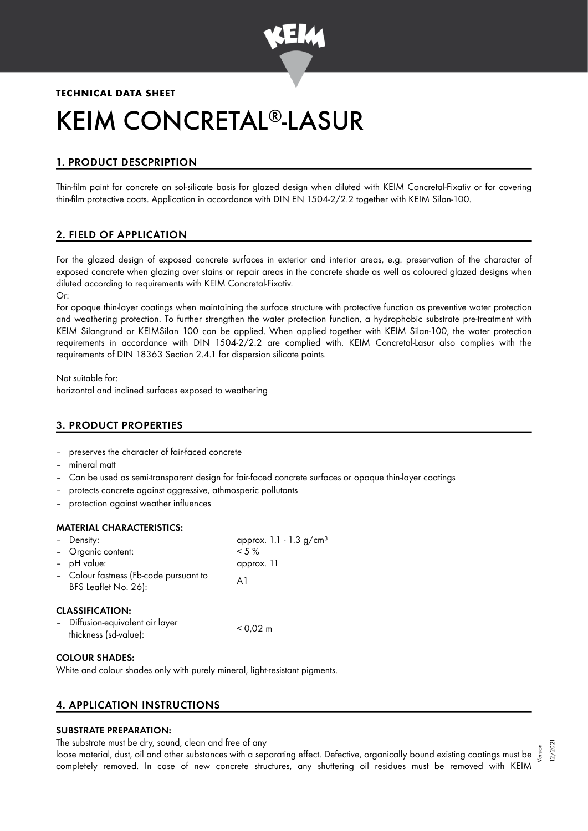

# **TECHNICAL DATA SHEET**

# KEIM CONCRETAL®-LASUR

# 1. PRODUCT DESCPRIPTION

Thin-film paint for concrete on sol-silicate basis for glazed design when diluted with KEIM Concretal-Fixativ or for covering thin-film protective coats. Application in accordance with DIN EN 1504-2/2.2 together with KEIM Silan-100.

# 2. FIELD OF APPLICATION

For the glazed design of exposed concrete surfaces in exterior and interior areas, e.g. preservation of the character of exposed concrete when glazing over stains or repair areas in the concrete shade as well as coloured glazed designs when diluted according to requirements with KEIM Concretal-Fixativ. Or:

For opaque thin-layer coatings when maintaining the surface structure with protective function as preventive water protection and weathering protection. To further strengthen the water protection function, a hydrophobic substrate pre-treatment with KEIM Silangrund or KEIMSilan 100 can be applied. When applied together with KEIM Silan-100, the water protection requirements in accordance with DIN 1504-2/2.2 are complied with. KEIM Concretal-Lasur also complies with the requirements of DIN 18363 Section 2.4.1 for dispersion silicate paints.

Not suitable for: horizontal and inclined surfaces exposed to weathering

## 3. PRODUCT PROPERTIES

- preserves the character of fair-faced concrete
- mineral matt
- Can be used as semi-transparent design for fair-faced concrete surfaces or opaque thin-layer coatings
- protects concrete against aggressive, athmosperic pollutants
- protection against weather influences

#### MATERIAL CHARACTERISTICS:

| - Density:                                                     | approx. 1.1 - 1.3 g/cm <sup>3</sup> |
|----------------------------------------------------------------|-------------------------------------|
| - Organic content:                                             | $< 5 \%$                            |
| - pH value:                                                    | approx. 11                          |
| - Colour fastness (Fb-code pursuant to<br>BFS Leaflet No. 26): | A1                                  |
| <b>CLASSIFICATION:</b>                                         |                                     |
| - Diffusion-equivalent air layer<br>thickness (sd-value):      | $< 0.02 \text{ m}$                  |

#### COLOUR SHADES:

White and colour shades only with purely mineral, light-resistant pigments.

## 4. APPLICATION INSTRUCTIONS

## SUBSTRATE PREPARATION:

The substrate must be dry, sound, clean and free of any

ine substrate must be ary, sound, clean and tree of any<br>loose material, dust, oil and other substances with a separating effect. Defective, organically bound existing coatings must be  $\frac{5}{3}$ completely removed. In case of new concrete structures, any shuttering oil residues must be removed with KEIM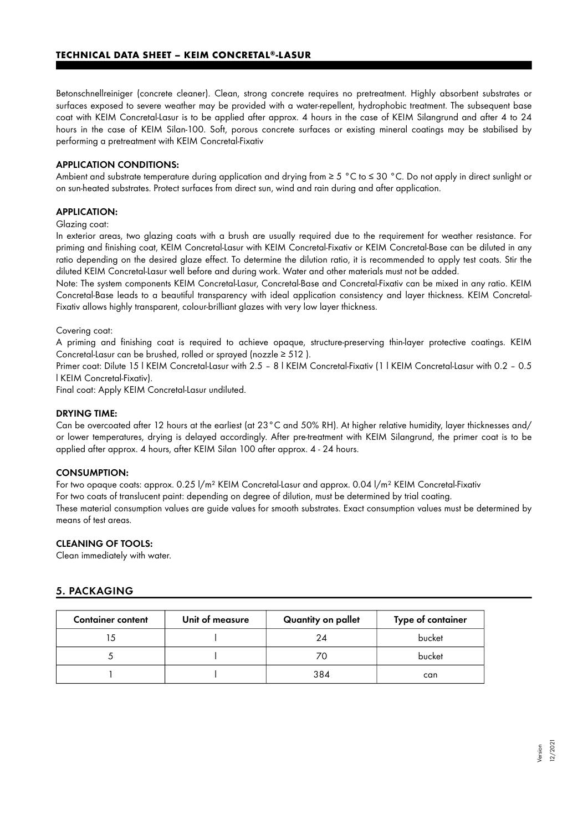Betonschnellreiniger (concrete cleaner). Clean, strong concrete requires no pretreatment. Highly absorbent substrates or surfaces exposed to severe weather may be provided with a water-repellent, hydrophobic treatment. The subsequent base coat with KEIM Concretal-Lasur is to be applied after approx. 4 hours in the case of KEIM Silangrund and after 4 to 24 hours in the case of KEIM Silan-100. Soft, porous concrete surfaces or existing mineral coatings may be stabilised by performing a pretreatment with KEIM Concretal-Fixativ

#### APPLICATION CONDITIONS:

Ambient and substrate temperature during application and drying from ≥ 5 °C to ≤ 30 °C. Do not apply in direct sunlight or on sun-heated substrates. Protect surfaces from direct sun, wind and rain during and after application.

#### APPLICATION:

Glazing coat:

In exterior areas, two glazing coats with a brush are usually required due to the requirement for weather resistance. For priming and finishing coat, KEIM Concretal-Lasur with KEIM Concretal-Fixativ or KEIM Concretal-Base can be diluted in any ratio depending on the desired glaze effect. To determine the dilution ratio, it is recommended to apply test coats. Stir the diluted KEIM Concretal-Lasur well before and during work. Water and other materials must not be added.

Note: The system components KEIM Concretal-Lasur, Concretal-Base and Concretal-Fixativ can be mixed in any ratio. KEIM Concretal-Base leads to a beautiful transparency with ideal application consistency and layer thickness. KEIM Concretal-Fixativ allows highly transparent, colour-brilliant glazes with very low layer thickness.

Covering coat:

A priming and finishing coat is required to achieve opaque, structure-preserving thin-layer protective coatings. KEIM Concretal-Lasur can be brushed, rolled or sprayed (nozzle ≥ 512 ).

Primer coat: Dilute 15 l KEIM Concretal-Lasur with 2.5 – 8 l KEIM Concretal-Fixativ (1 l KEIM Concretal-Lasur with 0.2 – 0.5 l KEIM Concretal-Fixativ).

Final coat: Apply KEIM Concretal-Lasur undiluted.

#### DRYING TIME:

Can be overcoated after 12 hours at the earliest (at 23°C and 50% RH). At higher relative humidity, layer thicknesses and/ or lower temperatures, drying is delayed accordingly. After pre-treatment with KEIM Silangrund, the primer coat is to be applied after approx. 4 hours, after KEIM Silan 100 after approx. 4 - 24 hours.

#### CONSUMPTION:

means of test areas.

For two opaque coats: approx. 0.25 l/m² KEIM Concretal-Lasur and approx. 0.04 l/m² KEIM Concretal-Fixativ For two coats of translucent paint: depending on degree of dilution, must be determined by trial coating. These material consumption values are guide values for smooth substrates. Exact consumption values must be determined by

#### CLEANING OF TOOLS:

Clean immediately with water.

#### 5. PACKAGING

| <b>Container content</b> | Unit of measure | Quantity on pallet | Type of container |
|--------------------------|-----------------|--------------------|-------------------|
|                          |                 | 24                 | bucket            |
|                          |                 | 70                 | bucket            |
|                          |                 | 384                | can               |